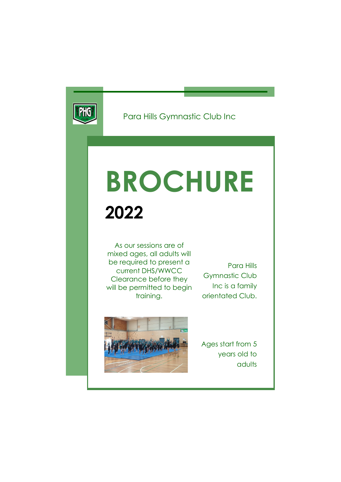

Para Hills Gymnastic Club Inc

# BROCHURE 2022

As our sessions are of mixed ages, all adults will be required to present a current DHS/WWCC Clearance before they will be permitted to begin training.

Para Hills Gymnastic Club Inc is a family orientated Club.



Ages start from 5 years old to adults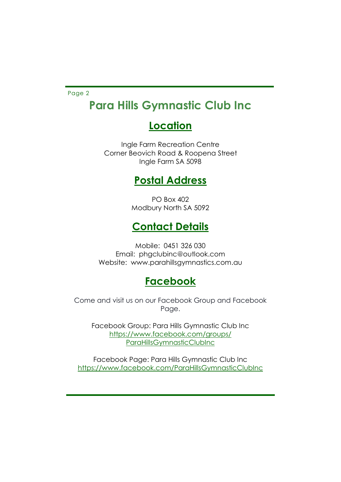Page 2

# Para Hills Gymnastic Club Inc

# **Location**

Ingle Farm Recreation Centre Corner Beovich Road & Roopena Street Ingle Farm SA 5098

## Postal Address

PO Box 402 Modbury North SA 5092

# Contact Details

Mobile: 0451 326 030 Email: phgclubinc@outlook.com Website: www.parahillsgymnastics.com.au

## **Facebook**

Come and visit us on our Facebook Group and Facebook Page.

Facebook Group: Para Hills Gymnastic Club Inc https://www.facebook.com/groups/ ParaHillsGymnasticClubInc

Facebook Page: Para Hills Gymnastic Club Inc https://www.facebook.com/ParaHillsGymnasticClubInc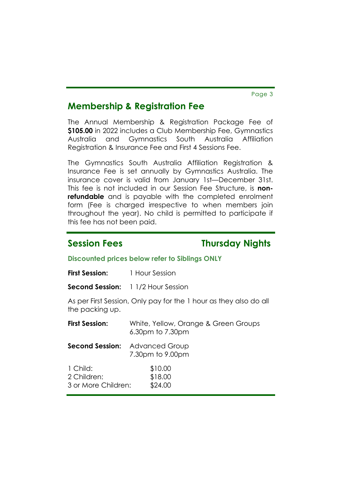Page 3

### Membership & Registration Fee

The Annual Membership & Registration Package Fee of \$105.00 in 2022 includes a Club Membership Fee, Gymnastics Australia and Gymnastics South Australia Affiliation Registration & Insurance Fee and First 4 Sessions Fee.

The Gymnastics South Australia Affiliation Registration & Insurance Fee is set annually by Gymnastics Australia. The insurance cover is valid from January 1st—December 31st. This fee is not included in our Session Fee Structure, is nonrefundable and is payable with the completed enrolment form (Fee is charged irrespective to when members join throughout the year). No child is permitted to participate if this fee has not been paid.

### Session Fees Thursday Nights

### Discounted prices below refer to Siblings ONLY

Second Session: 1 1/2 Hour Session

As per First Session, Only pay for the 1 hour as they also do all the packing up.

| <b>First Session:</b>                          | White, Yellow, Orange & Green Groups<br>6.30pm to 7.30pm  |  |  |  |
|------------------------------------------------|-----------------------------------------------------------|--|--|--|
|                                                | <b>Second Session:</b> Advanced Group<br>7.30pm to 9.00pm |  |  |  |
| 1 Child:<br>2 Children:<br>3 or More Children: | \$10.00<br>\$18.00<br>\$24.00                             |  |  |  |